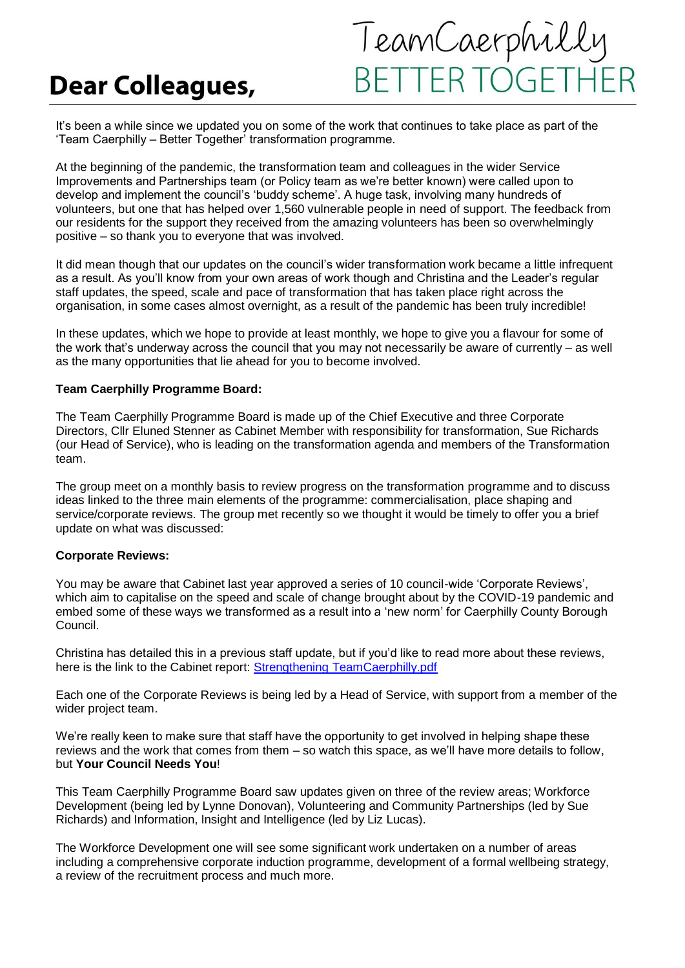# **Dear Colleagues,**



It's been a while since we updated you on some of the work that continues to take place as part of the 'Team Caerphilly – Better Together' transformation programme.

At the beginning of the pandemic, the transformation team and colleagues in the wider Service Improvements and Partnerships team (or Policy team as we're better known) were called upon to develop and implement the council's 'buddy scheme'. A huge task, involving many hundreds of volunteers, but one that has helped over 1,560 vulnerable people in need of support. The feedback from our residents for the support they received from the amazing volunteers has been so overwhelmingly positive – so thank you to everyone that was involved.

It did mean though that our updates on the council's wider transformation work became a little infrequent as a result. As you'll know from your own areas of work though and Christina and the Leader's regular staff updates, the speed, scale and pace of transformation that has taken place right across the organisation, in some cases almost overnight, as a result of the pandemic has been truly incredible!

In these updates, which we hope to provide at least monthly, we hope to give you a flavour for some of the work that's underway across the council that you may not necessarily be aware of currently – as well as the many opportunities that lie ahead for you to become involved.

## **Team Caerphilly Programme Board:**

The Team Caerphilly Programme Board is made up of the Chief Executive and three Corporate Directors, Cllr Eluned Stenner as Cabinet Member with responsibility for transformation, Sue Richards (our Head of Service), who is leading on the transformation agenda and members of the Transformation team.

The group meet on a monthly basis to review progress on the transformation programme and to discuss ideas linked to the three main elements of the programme: commercialisation, place shaping and service/corporate reviews. The group met recently so we thought it would be timely to offer you a brief update on what was discussed:

### **Corporate Reviews:**

You may be aware that Cabinet last year approved a series of 10 council-wide 'Corporate Reviews', which aim to capitalise on the speed and scale of change brought about by the COVID-19 pandemic and embed some of these ways we transformed as a result into a 'new norm' for Caerphilly County Borough Council.

Christina has detailed this in a previous staff update, but if you'd like to read more about these reviews, here is the link to the Cabinet report: [Strengthening TeamCaerphilly.pdf](https://democracy.caerphilly.gov.uk/documents/s32461/Strengthening%20TeamCaerphilly.pdf?LLL=0)

Each one of the Corporate Reviews is being led by a Head of Service, with support from a member of the wider project team.

We're really keen to make sure that staff have the opportunity to get involved in helping shape these reviews and the work that comes from them – so watch this space, as we'll have more details to follow, but **Your Council Needs You**!

This Team Caerphilly Programme Board saw updates given on three of the review areas; Workforce Development (being led by Lynne Donovan), Volunteering and Community Partnerships (led by Sue Richards) and Information, Insight and Intelligence (led by Liz Lucas).

The Workforce Development one will see some significant work undertaken on a number of areas including a comprehensive corporate induction programme, development of a formal wellbeing strategy, a review of the recruitment process and much more.